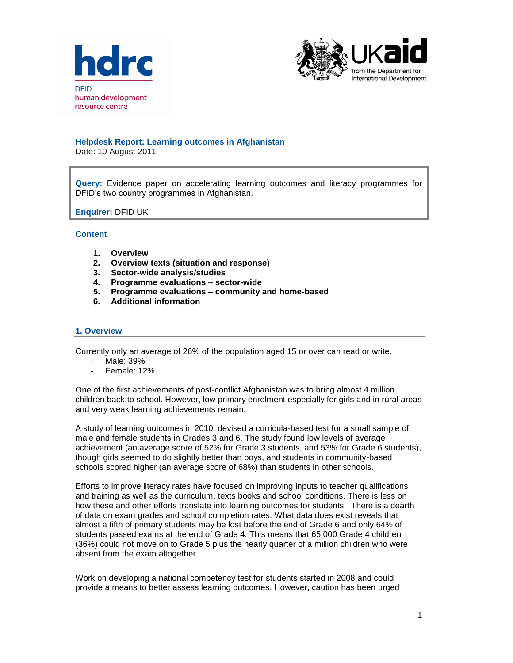



### **Helpdesk Report: Learning outcomes in Afghanistan**

Date: 10 August 2011

**Query:** Evidence paper on accelerating learning outcomes and literacy programmes for DFID's two country programmes in Afghanistan.

### **Enquirer:** DFID UK

### **Content**

- **1. Overview**
- **2. Overview texts (situation and response)**
- **3. Sector-wide analysis/studies**
- **4. Programme evaluations – sector-wide**
- **5. Programme evaluations – community and home-based**
- **6. Additional information**

#### **1. Overview**

Currently only an average of 26% of the population aged 15 or over can read or write.

- Male: 39%
- Female: 12%

One of the first achievements of post-conflict Afghanistan was to bring almost 4 million children back to school. However, low primary enrolment especially for girls and in rural areas and very weak learning achievements remain.

A study of learning outcomes in 2010, devised a curricula-based test for a small sample of male and female students in Grades 3 and 6. The study found low levels of average achievement (an average score of 52% for Grade 3 students, and 53% for Grade 6 students), though girls seemed to do slightly better than boys, and students in community-based schools scored higher (an average score of 68%) than students in other schools.

Efforts to improve literacy rates have focused on improving inputs to teacher qualifications and training as well as the curriculum, texts books and school conditions. There is less on how these and other efforts translate into learning outcomes for students. There is a dearth of data on exam grades and school completion rates. What data does exist reveals that almost a fifth of primary students may be lost before the end of Grade 6 and only 64% of students passed exams at the end of Grade 4. This means that 65,000 Grade 4 children (36%) could not move on to Grade 5 plus the nearly quarter of a million children who were absent from the exam altogether.

Work on developing a national competency test for students started in 2008 and could provide a means to better assess learning outcomes. However, caution has been urged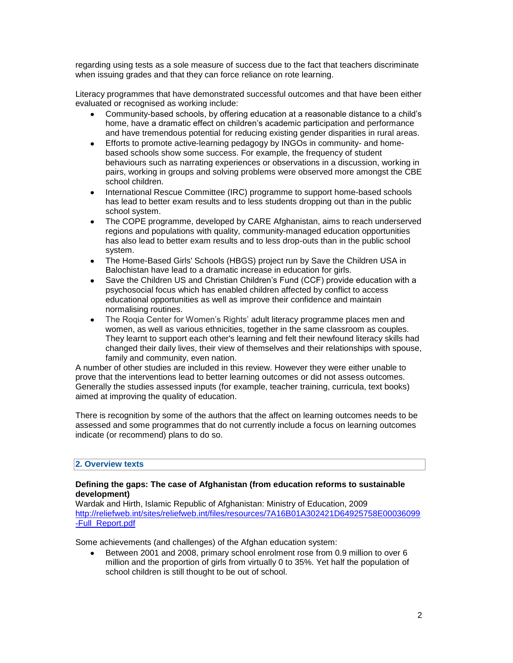regarding using tests as a sole measure of success due to the fact that teachers discriminate when issuing grades and that they can force reliance on rote learning.

Literacy programmes that have demonstrated successful outcomes and that have been either evaluated or recognised as working include:

- Community-based schools, by offering education at a reasonable distance to a child's home, have a dramatic effect on children's academic participation and performance and have tremendous potential for reducing existing gender disparities in rural areas.
- Efforts to promote active-learning pedagogy by INGOs in community- and homebased schools show some success. For example, the frequency of student behaviours such as narrating experiences or observations in a discussion, working in pairs, working in groups and solving problems were observed more amongst the CBE school children.
- International Rescue Committee (IRC) programme to support home-based schools  $\bullet$ has lead to better exam results and to less students dropping out than in the public school system.
- The COPE programme, developed by CARE Afghanistan, aims to reach underserved regions and populations with quality, community-managed education opportunities has also lead to better exam results and to less drop-outs than in the public school system.
- The Home-Based Girls' Schools (HBGS) project run by Save the Children USA in Balochistan have lead to a dramatic increase in education for girls.
- Save the Children US and Christian Children's Fund (CCF) provide education with a psychosocial focus which has enabled children affected by conflict to access educational opportunities as well as improve their confidence and maintain normalising routines.
- The Roqia Center for Women's Rights' adult literacy programme places men and women, as well as various ethnicities, together in the same classroom as couples. They learnt to support each other's learning and felt their newfound literacy skills had changed their daily lives, their view of themselves and their relationships with spouse, family and community, even nation.

A number of other studies are included in this review. However they were either unable to prove that the interventions lead to better learning outcomes or did not assess outcomes. Generally the studies assessed inputs (for example, teacher training, curricula, text books) aimed at improving the quality of education.

There is recognition by some of the authors that the affect on learning outcomes needs to be assessed and some programmes that do not currently include a focus on learning outcomes indicate (or recommend) plans to do so.

### **2. Overview texts**

### **Defining the gaps: The case of Afghanistan (from education reforms to sustainable development)**

Wardak and Hirth, Islamic Republic of Afghanistan: Ministry of Education, 2009 [http://reliefweb.int/sites/reliefweb.int/files/resources/7A16B01A302421D64925758E00036099](http://reliefweb.int/sites/reliefweb.int/files/resources/7A16B01A302421D64925758E00036099-Full_Report.pdf) [-Full\\_Report.pdf](http://reliefweb.int/sites/reliefweb.int/files/resources/7A16B01A302421D64925758E00036099-Full_Report.pdf)

Some achievements (and challenges) of the Afghan education system:

 $\bullet$ Between 2001 and 2008, primary school enrolment rose from 0.9 million to over 6 million and the proportion of girls from virtually 0 to 35%. Yet half the population of school children is still thought to be out of school.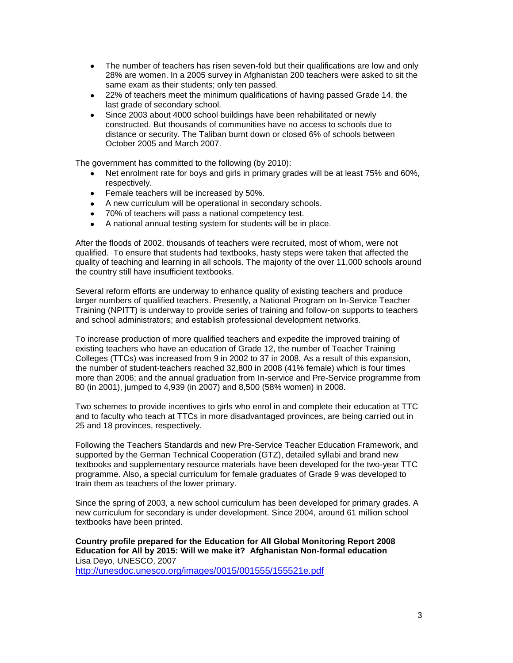- The number of teachers has risen seven-fold but their qualifications are low and only 28% are women. In a 2005 survey in Afghanistan 200 teachers were asked to sit the same exam as their students; only ten passed.
- $\bullet$ 22% of teachers meet the minimum qualifications of having passed Grade 14, the last grade of secondary school.
- Since 2003 about 4000 school buildings have been rehabilitated or newly constructed. But thousands of communities have no access to schools due to distance or security. The Taliban burnt down or closed 6% of schools between October 2005 and March 2007.

The government has committed to the following (by 2010):

- Net enrolment rate for boys and girls in primary grades will be at least 75% and 60%,  $\bullet$ respectively.
- **•** Female teachers will be increased by 50%.
- A new curriculum will be operational in secondary schools.
- 70% of teachers will pass a national competency test.
- A national annual testing system for students will be in place.

After the floods of 2002, thousands of teachers were recruited, most of whom, were not qualified. To ensure that students had textbooks, hasty steps were taken that affected the quality of teaching and learning in all schools. The majority of the over 11,000 schools around the country still have insufficient textbooks.

Several reform efforts are underway to enhance quality of existing teachers and produce larger numbers of qualified teachers. Presently, a National Program on In-Service Teacher Training (NPITT) is underway to provide series of training and follow-on supports to teachers and school administrators; and establish professional development networks.

To increase production of more qualified teachers and expedite the improved training of existing teachers who have an education of Grade 12, the number of Teacher Training Colleges (TTCs) was increased from 9 in 2002 to 37 in 2008. As a result of this expansion, the number of student-teachers reached 32,800 in 2008 (41% female) which is four times more than 2006; and the annual graduation from In-service and Pre-Service programme from 80 (in 2001), jumped to 4,939 (in 2007) and 8,500 (58% women) in 2008.

Two schemes to provide incentives to girls who enrol in and complete their education at TTC and to faculty who teach at TTCs in more disadvantaged provinces, are being carried out in 25 and 18 provinces, respectively.

Following the Teachers Standards and new Pre-Service Teacher Education Framework, and supported by the German Technical Cooperation (GTZ), detailed syllabi and brand new textbooks and supplementary resource materials have been developed for the two-year TTC programme. Also, a special curriculum for female graduates of Grade 9 was developed to train them as teachers of the lower primary.

Since the spring of 2003, a new school curriculum has been developed for primary grades. A new curriculum for secondary is under development. Since 2004, around 61 million school textbooks have been printed.

**Country profile prepared for the Education for All Global Monitoring Report 2008 Education for All by 2015: Will we make it? Afghanistan Non-formal education**  Lisa Deyo, UNESCO, 2007 <http://unesdoc.unesco.org/images/0015/001555/155521e.pdf>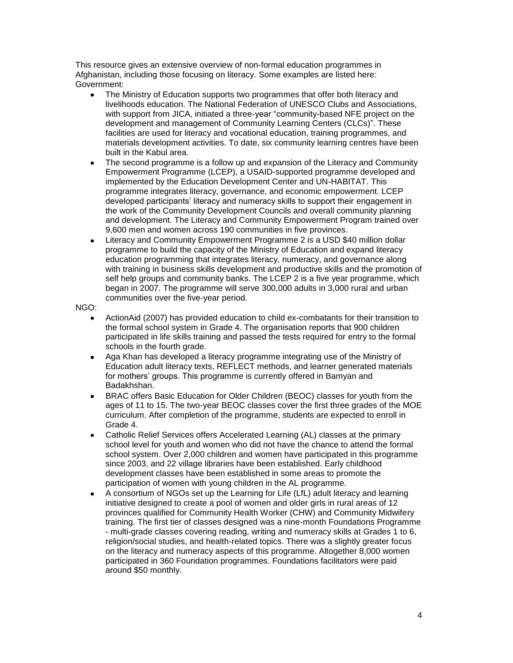This resource gives an extensive overview of non-formal education programmes in Afghanistan, including those focusing on literacy. Some examples are listed here: Government:

- The Ministry of Education supports two programmes that offer both literacy and livelihoods education. The National Federation of UNESCO Clubs and Associations, with support from JICA, initiated a three-year "community-based NFE project on the development and management of Community Learning Centers (CLCs)". These facilities are used for literacy and vocational education, training programmes, and materials development activities. To date, six community learning centres have been built in the Kabul area.
- The second programme is a follow up and expansion of the Literacy and Community  $\bullet$ Empowerment Programme (LCEP), a USAID-supported programme developed and implemented by the Education Development Center and UN-HABITAT. This programme integrates literacy, governance, and economic empowerment. LCEP developed participants' literacy and numeracy skills to support their engagement in the work of the Community Development Councils and overall community planning and development. The Literacy and Community Empowerment Program trained over 9,600 men and women across 190 communities in five provinces.
- Literacy and Community Empowerment Programme 2 is a USD \$40 million dollar programme to build the capacity of the Ministry of Education and expand literacy education programming that integrates literacy, numeracy, and governance along with training in business skills development and productive skills and the promotion of self help groups and community banks. The LCEP 2 is a five year programme, which began in 2007. The programme will serve 300,000 adults in 3,000 rural and urban communities over the five-year period.

### NGO:

- ActionAid (2007) has provided education to child ex-combatants for their transition to the formal school system in Grade 4. The organisation reports that 900 children participated in life skills training and passed the tests required for entry to the formal schools in the fourth grade.
- $\bullet$ Aga Khan has developed a literacy programme integrating use of the Ministry of Education adult literacy texts, REFLECT methods, and learner generated materials for mothers' groups. This programme is currently offered in Bamyan and Badakhshan.
- BRAC offers Basic Education for Older Children (BEOC) classes for youth from the ages of 11 to 15. The two-year BEOC classes cover the first three grades of the MOE curriculum. After completion of the programme, students are expected to enroll in Grade 4.
- Catholic Relief Services offers Accelerated Learning (AL) classes at the primary school level for youth and women who did not have the chance to attend the formal school system. Over 2,000 children and women have participated in this programme since 2003, and 22 village libraries have been established. Early childhood development classes have been established in some areas to promote the participation of women with young children in the AL programme.
- A consortium of NGOs set up the Learning for Life (LfL) adult literacy and learning initiative designed to create a pool of women and older girls in rural areas of 12 provinces qualified for Community Health Worker (CHW) and Community Midwifery training. The first tier of classes designed was a nine-month Foundations Programme - multi-grade classes covering reading, writing and numeracy skills at Grades 1 to 6, religion/social studies, and health-related topics. There was a slightly greater focus on the literacy and numeracy aspects of this programme. Altogether 8,000 women participated in 360 Foundation programmes. Foundations facilitators were paid around \$50 monthly.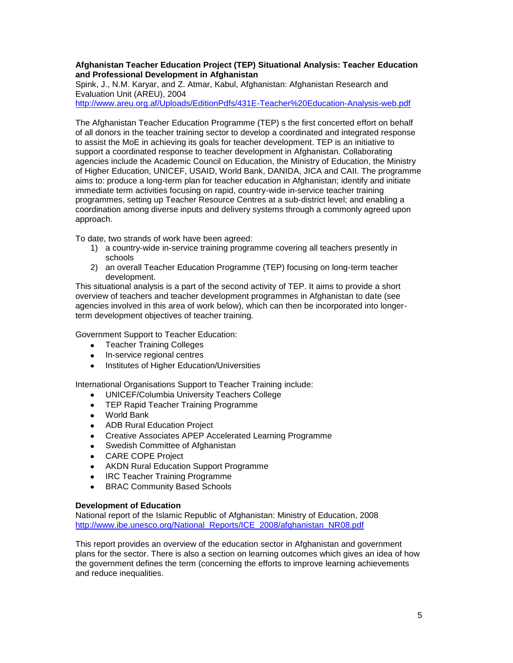### **Afghanistan Teacher Education Project (TEP) Situational Analysis: Teacher Education and Professional Development in Afghanistan**

Spink, J., N.M. Karyar, and Z. Atmar, Kabul, Afghanistan: Afghanistan Research and Evaluation Unit (AREU), 2004

<http://www.areu.org.af/Uploads/EditionPdfs/431E-Teacher%20Education-Analysis-web.pdf>

The Afghanistan Teacher Education Programme (TEP) s the first concerted effort on behalf of all donors in the teacher training sector to develop a coordinated and integrated response to assist the MoE in achieving its goals for teacher development. TEP is an initiative to support a coordinated response to teacher development in Afghanistan. Collaborating agencies include the Academic Council on Education, the Ministry of Education, the Ministry of Higher Education, UNICEF, USAID, World Bank, DANIDA, JICA and CAII. The programme aims to: produce a long-term plan for teacher education in Afghanistan; identify and initiate immediate term activities focusing on rapid, country-wide in-service teacher training programmes, setting up Teacher Resource Centres at a sub-district level; and enabling a coordination among diverse inputs and delivery systems through a commonly agreed upon approach.

To date, two strands of work have been agreed:

- 1) a country-wide in-service training programme covering all teachers presently in schools
- 2) an overall Teacher Education Programme (TEP) focusing on long-term teacher development.

This situational analysis is a part of the second activity of TEP. It aims to provide a short overview of teachers and teacher development programmes in Afghanistan to date (see agencies involved in this area of work below), which can then be incorporated into longerterm development objectives of teacher training.

Government Support to Teacher Education:

- Teacher Training Colleges
- In-service regional centres
- Institutes of Higher Education/Universities

International Organisations Support to Teacher Training include:

- UNICEF/Columbia University Teachers College
- **TEP Rapid Teacher Training Programme**
- World Bank
- ADB Rural Education Project
- Creative Associates APEP Accelerated Learning Programme
- Swedish Committee of Afghanistan
- CARE COPE Project
- AKDN Rural Education Support Programme
- IRC Teacher Training Programme
- BRAC Community Based Schools

### **Development of Education**

National report of the Islamic Republic of Afghanistan: Ministry of Education, 2008 [http://www.ibe.unesco.org/National\\_Reports/ICE\\_2008/afghanistan\\_NR08.pdf](http://www.ibe.unesco.org/National_Reports/ICE_2008/afghanistan_NR08.pdf)

This report provides an overview of the education sector in Afghanistan and government plans for the sector. There is also a section on learning outcomes which gives an idea of how the government defines the term (concerning the efforts to improve learning achievements and reduce inequalities.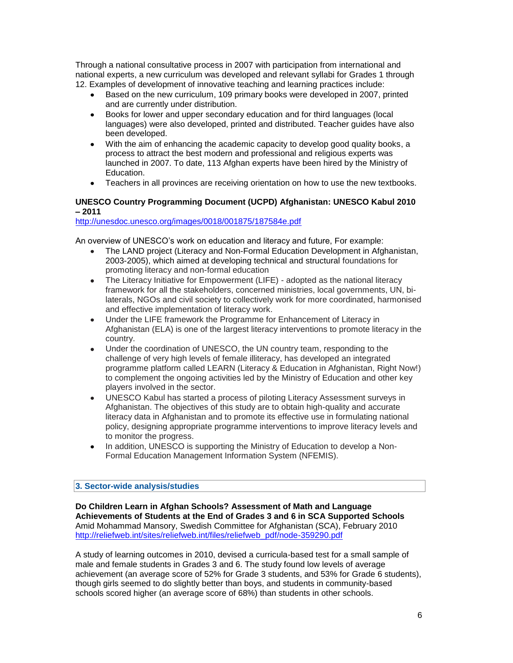Through a national consultative process in 2007 with participation from international and national experts, a new curriculum was developed and relevant syllabi for Grades 1 through 12. Examples of development of innovative teaching and learning practices include:

- Based on the new curriculum, 109 primary books were developed in 2007, printed and are currently under distribution.
- Books for lower and upper secondary education and for third languages (local languages) were also developed, printed and distributed. Teacher guides have also been developed.
- With the aim of enhancing the academic capacity to develop good quality books, a process to attract the best modern and professional and religious experts was launched in 2007. To date, 113 Afghan experts have been hired by the Ministry of Education.
- Teachers in all provinces are receiving orientation on how to use the new textbooks.  $\bullet$

# **UNESCO Country Programming Document (UCPD) Afghanistan: UNESCO Kabul 2010 – 2011**

<http://unesdoc.unesco.org/images/0018/001875/187584e.pdf>

An overview of UNESCO's work on education and literacy and future, For example:

- The LAND project (Literacy and Non-Formal Education Development in Afghanistan, 2003-2005), which aimed at developing technical and structural foundations for promoting literacy and non-formal education
- The Literacy Initiative for Empowerment (LIFE) adopted as the national literacy framework for all the stakeholders, concerned ministries, local governments, UN, bilaterals, NGOs and civil society to collectively work for more coordinated, harmonised and effective implementation of literacy work.
- Under the LIFE framework the Programme for Enhancement of Literacy in Afghanistan (ELA) is one of the largest literacy interventions to promote literacy in the country.
- Under the coordination of UNESCO, the UN country team, responding to the challenge of very high levels of female illiteracy, has developed an integrated programme platform called LEARN (Literacy & Education in Afghanistan, Right Now!) to complement the ongoing activities led by the Ministry of Education and other key players involved in the sector.
- UNESCO Kabul has started a process of piloting Literacy Assessment surveys in  $\bullet$ Afghanistan. The objectives of this study are to obtain high-quality and accurate literacy data in Afghanistan and to promote its effective use in formulating national policy, designing appropriate programme interventions to improve literacy levels and to monitor the progress.
- In addition, UNESCO is supporting the Ministry of Education to develop a Non- $\bullet$ Formal Education Management Information System (NFEMIS).

# **3. Sector-wide analysis/studies**

**Do Children Learn in Afghan Schools? Assessment of Math and Language Achievements of Students at the End of Grades 3 and 6 in SCA Supported Schools**  Amid Mohammad Mansory, Swedish Committee for Afghanistan (SCA), February 2010 [http://reliefweb.int/sites/reliefweb.int/files/reliefweb\\_pdf/node-359290.pdf](http://reliefweb.int/sites/reliefweb.int/files/reliefweb_pdf/node-359290.pdf)

A study of learning outcomes in 2010, devised a curricula-based test for a small sample of male and female students in Grades 3 and 6. The study found low levels of average achievement (an average score of 52% for Grade 3 students, and 53% for Grade 6 students), though girls seemed to do slightly better than boys, and students in community-based schools scored higher (an average score of 68%) than students in other schools.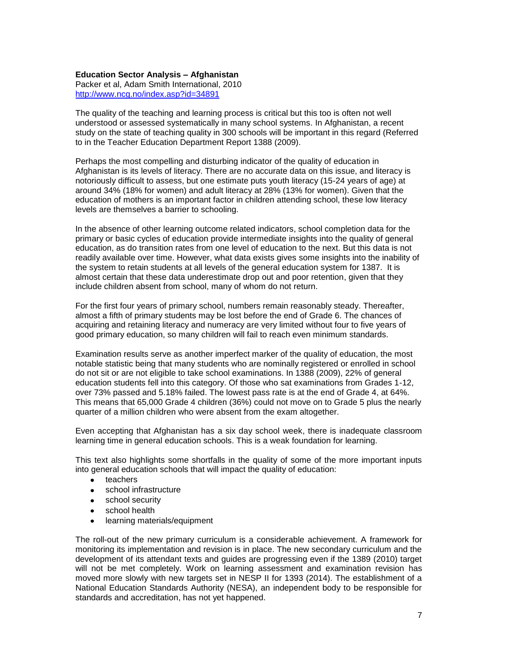### **Education Sector Analysis – Afghanistan**

Packer et al, Adam Smith International, 2010 <http://www.ncg.no/index.asp?id=34891>

The quality of the teaching and learning process is critical but this too is often not well understood or assessed systematically in many school systems. In Afghanistan, a recent study on the state of teaching quality in 300 schools will be important in this regard (Referred to in the Teacher Education Department Report 1388 (2009).

Perhaps the most compelling and disturbing indicator of the quality of education in Afghanistan is its levels of literacy. There are no accurate data on this issue, and literacy is notoriously difficult to assess, but one estimate puts youth literacy (15-24 years of age) at around 34% (18% for women) and adult literacy at 28% (13% for women). Given that the education of mothers is an important factor in children attending school, these low literacy levels are themselves a barrier to schooling.

In the absence of other learning outcome related indicators, school completion data for the primary or basic cycles of education provide intermediate insights into the quality of general education, as do transition rates from one level of education to the next. But this data is not readily available over time. However, what data exists gives some insights into the inability of the system to retain students at all levels of the general education system for 1387. It is almost certain that these data underestimate drop out and poor retention, given that they include children absent from school, many of whom do not return.

For the first four years of primary school, numbers remain reasonably steady. Thereafter, almost a fifth of primary students may be lost before the end of Grade 6. The chances of acquiring and retaining literacy and numeracy are very limited without four to five years of good primary education, so many children will fail to reach even minimum standards.

Examination results serve as another imperfect marker of the quality of education, the most notable statistic being that many students who are nominally registered or enrolled in school do not sit or are not eligible to take school examinations. In 1388 (2009), 22% of general education students fell into this category. Of those who sat examinations from Grades 1-12, over 73% passed and 5.18% failed. The lowest pass rate is at the end of Grade 4, at 64%. This means that 65,000 Grade 4 children (36%) could not move on to Grade 5 plus the nearly quarter of a million children who were absent from the exam altogether.

Even accepting that Afghanistan has a six day school week, there is inadequate classroom learning time in general education schools. This is a weak foundation for learning.

This text also highlights some shortfalls in the quality of some of the more important inputs into general education schools that will impact the quality of education:

- teachers
- school infrastructure
- school security
- school health
- learning materials/equipment  $\bullet$

The roll-out of the new primary curriculum is a considerable achievement. A framework for monitoring its implementation and revision is in place. The new secondary curriculum and the development of its attendant texts and guides are progressing even if the 1389 (2010) target will not be met completely. Work on learning assessment and examination revision has moved more slowly with new targets set in NESP II for 1393 (2014). The establishment of a National Education Standards Authority (NESA), an independent body to be responsible for standards and accreditation, has not yet happened.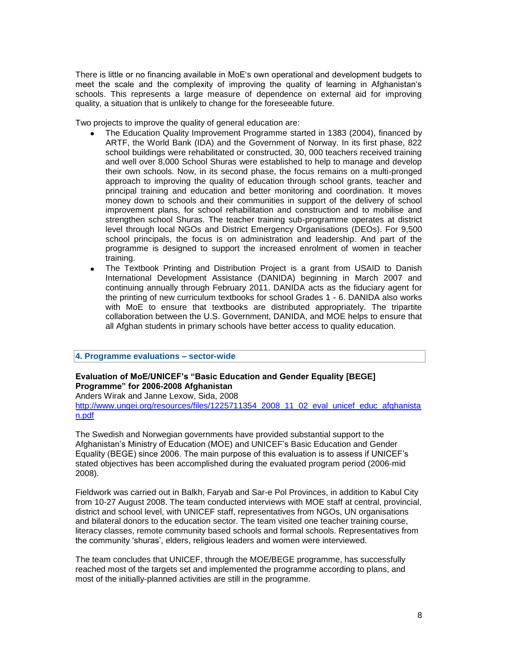There is little or no financing available in MoE‗s own operational and development budgets to meet the scale and the complexity of improving the quality of learning in Afghanistan's schools. This represents a large measure of dependence on external aid for improving quality, a situation that is unlikely to change for the foreseeable future.

Two projects to improve the quality of general education are:

- The Education Quality Improvement Programme started in 1383 (2004), financed by ARTF, the World Bank (IDA) and the Government of Norway. In its first phase, 822 school buildings were rehabilitated or constructed, 30, 000 teachers received training and well over 8,000 School Shuras were established to help to manage and develop their own schools. Now, in its second phase, the focus remains on a multi-pronged approach to improving the quality of education through school grants, teacher and principal training and education and better monitoring and coordination. It moves money down to schools and their communities in support of the delivery of school improvement plans, for school rehabilitation and construction and to mobilise and strengthen school Shuras. The teacher training sub-programme operates at district level through local NGOs and District Emergency Organisations (DEOs). For 9,500 school principals, the focus is on administration and leadership. And part of the programme is designed to support the increased enrolment of women in teacher training.
- The Textbook Printing and Distribution Project is a grant from USAID to Danish  $\bullet$ International Development Assistance (DANIDA) beginning in March 2007 and continuing annually through February 2011. DANIDA acts as the fiduciary agent for the printing of new curriculum textbooks for school Grades 1 - 6. DANIDA also works with MoE to ensure that textbooks are distributed appropriately. The tripartite collaboration between the U.S. Government, DANIDA, and MOE helps to ensure that all Afghan students in primary schools have better access to quality education.

### **4. Programme evaluations – sector-wide**

# **Evaluation of MoE/UNICEF's "Basic Education and Gender Equality [BEGE] Programme" for 2006-2008 Afghanistan**

Anders Wirak and Janne Lexow, Sida, 2008

[http://www.ungei.org/resources/files/1225711354\\_2008\\_11\\_02\\_eval\\_unicef\\_educ\\_afghanista](http://www.ungei.org/resources/files/1225711354_2008_11_02_eval_unicef_educ_afghanistan.pdf) [n.pdf](http://www.ungei.org/resources/files/1225711354_2008_11_02_eval_unicef_educ_afghanistan.pdf)

The Swedish and Norwegian governments have provided substantial support to the Afghanistan's Ministry of Education (MOE) and UNICEF's Basic Education and Gender Equality (BEGE) since 2006. The main purpose of this evaluation is to assess if UNICEF's stated objectives has been accomplished during the evaluated program period (2006-mid 2008).

Fieldwork was carried out in Balkh, Faryab and Sar-e Pol Provinces, in addition to Kabul City from 10-27 August 2008. The team conducted interviews with MOE staff at central, provincial, district and school level, with UNICEF staff, representatives from NGOs, UN organisations and bilateral donors to the education sector. The team visited one teacher training course, literacy classes, remote community based schools and formal schools. Representatives from the community 'shuras', elders, religious leaders and women were interviewed.

The team concludes that UNICEF, through the MOE/BEGE programme, has successfully reached most of the targets set and implemented the programme according to plans, and most of the initially-planned activities are still in the programme.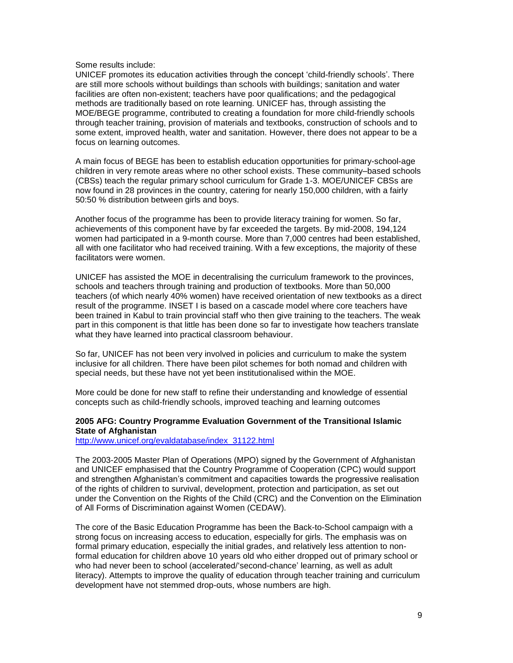#### Some results include:

UNICEF promotes its education activities through the concept ‗child-friendly schools'. There are still more schools without buildings than schools with buildings; sanitation and water facilities are often non-existent; teachers have poor qualifications; and the pedagogical methods are traditionally based on rote learning. UNICEF has, through assisting the MOE/BEGE programme, contributed to creating a foundation for more child-friendly schools through teacher training, provision of materials and textbooks, construction of schools and to some extent, improved health, water and sanitation. However, there does not appear to be a focus on learning outcomes.

A main focus of BEGE has been to establish education opportunities for primary-school-age children in very remote areas where no other school exists. These community–based schools (CBSs) teach the regular primary school curriculum for Grade 1-3. MOE/UNICEF CBSs are now found in 28 provinces in the country, catering for nearly 150,000 children, with a fairly 50:50 % distribution between girls and boys.

Another focus of the programme has been to provide literacy training for women. So far, achievements of this component have by far exceeded the targets. By mid-2008, 194,124 women had participated in a 9-month course. More than 7,000 centres had been established, all with one facilitator who had received training. With a few exceptions, the majority of these facilitators were women.

UNICEF has assisted the MOE in decentralising the curriculum framework to the provinces, schools and teachers through training and production of textbooks. More than 50,000 teachers (of which nearly 40% women) have received orientation of new textbooks as a direct result of the programme. INSET I is based on a cascade model where core teachers have been trained in Kabul to train provincial staff who then give training to the teachers. The weak part in this component is that little has been done so far to investigate how teachers translate what they have learned into practical classroom behaviour.

So far, UNICEF has not been very involved in policies and curriculum to make the system inclusive for all children. There have been pilot schemes for both nomad and children with special needs, but these have not yet been institutionalised within the MOE.

More could be done for new staff to refine their understanding and knowledge of essential concepts such as child-friendly schools, improved teaching and learning outcomes

### **2005 AFG: Country Programme Evaluation Government of the Transitional Islamic State of Afghanistan**

[http://www.unicef.org/evaldatabase/index\\_31122.html](http://www.unicef.org/evaldatabase/index_31122.html)

The 2003-2005 Master Plan of Operations (MPO) signed by the Government of Afghanistan and UNICEF emphasised that the Country Programme of Cooperation (CPC) would support and strengthen Afghanistan's commitment and capacities towards the progressive realisation of the rights of children to survival, development, protection and participation, as set out under the Convention on the Rights of the Child (CRC) and the Convention on the Elimination of All Forms of Discrimination against Women (CEDAW).

The core of the Basic Education Programme has been the Back-to-School campaign with a strong focus on increasing access to education, especially for girls. The emphasis was on formal primary education, especially the initial grades, and relatively less attention to nonformal education for children above 10 years old who either dropped out of primary school or who had never been to school (accelerated/'second-chance' learning, as well as adult literacy). Attempts to improve the quality of education through teacher training and curriculum development have not stemmed drop-outs, whose numbers are high.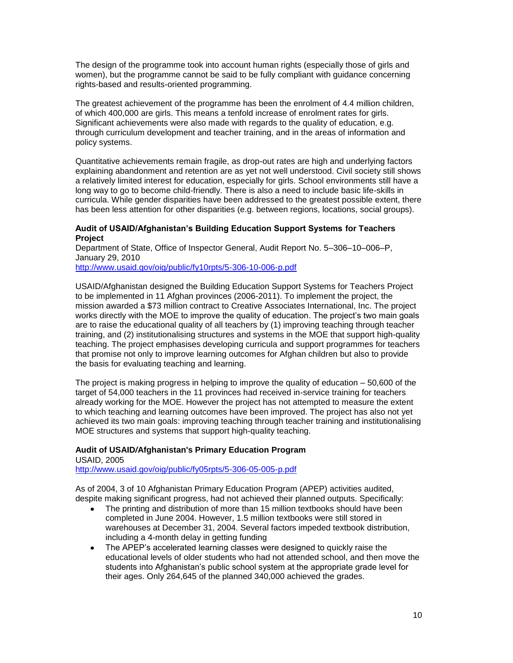The design of the programme took into account human rights (especially those of girls and women), but the programme cannot be said to be fully compliant with guidance concerning rights-based and results-oriented programming.

The greatest achievement of the programme has been the enrolment of 4.4 million children, of which 400,000 are girls. This means a tenfold increase of enrolment rates for girls. Significant achievements were also made with regards to the quality of education, e.g. through curriculum development and teacher training, and in the areas of information and policy systems.

Quantitative achievements remain fragile, as drop-out rates are high and underlying factors explaining abandonment and retention are as yet not well understood. Civil society still shows a relatively limited interest for education, especially for girls. School environments still have a long way to go to become child-friendly. There is also a need to include basic life-skills in curricula. While gender disparities have been addressed to the greatest possible extent, there has been less attention for other disparities (e.g. between regions, locations, social groups).

### **Audit of USAID/Afghanistan's Building Education Support Systems for Teachers Project**

Department of State, Office of Inspector General, Audit Report No. 5–306–10–006–P, January 29, 2010

<http://www.usaid.gov/oig/public/fy10rpts/5-306-10-006-p.pdf>

USAID/Afghanistan designed the Building Education Support Systems for Teachers Project to be implemented in 11 Afghan provinces (2006-2011). To implement the project, the mission awarded a \$73 million contract to Creative Associates International, Inc. The project works directly with the MOE to improve the quality of education. The project's two main goals are to raise the educational quality of all teachers by (1) improving teaching through teacher training, and (2) institutionalising structures and systems in the MOE that support high-quality teaching. The project emphasises developing curricula and support programmes for teachers that promise not only to improve learning outcomes for Afghan children but also to provide the basis for evaluating teaching and learning.

The project is making progress in helping to improve the quality of education – 50,600 of the target of 54,000 teachers in the 11 provinces had received in-service training for teachers already working for the MOE. However the project has not attempted to measure the extent to which teaching and learning outcomes have been improved. The project has also not yet achieved its two main goals: improving teaching through teacher training and institutionalising MOE structures and systems that support high-quality teaching.

# **Audit of USAID***/***Afghanistan's Primary Education Program**

USAID, 2005 <http://www.usaid.gov/oig/public/fy05rpts/5-306-05-005-p.pdf>

As of 2004, 3 of 10 Afghanistan Primary Education Program (APEP) activities audited, despite making significant progress, had not achieved their planned outputs. Specifically:

- $\bullet$ The printing and distribution of more than 15 million textbooks should have been completed in June 2004. However, 1.5 million textbooks were still stored in warehouses at December 31, 2004. Several factors impeded textbook distribution, including a 4-month delay in getting funding
- The APEP's accelerated learning classes were designed to quickly raise the  $\bullet$ educational levels of older students who had not attended school, and then move the students into Afghanistan's public school system at the appropriate grade level for their ages. Only 264,645 of the planned 340,000 achieved the grades.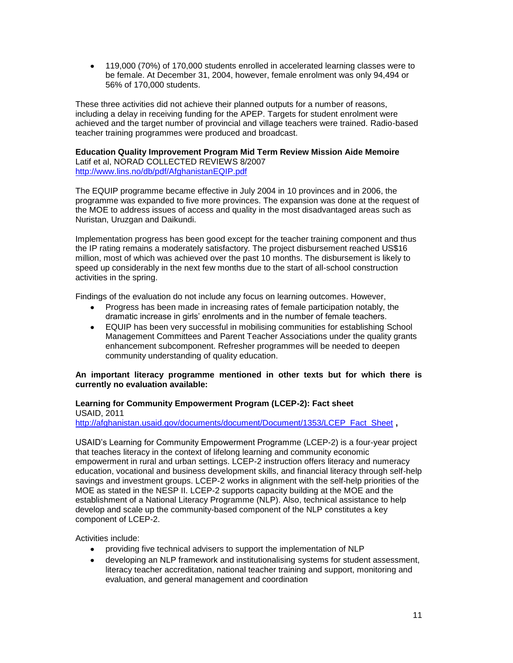119,000 (70%) of 170,000 students enrolled in accelerated learning classes were to be female. At December 31, 2004, however, female enrolment was only 94,494 or 56% of 170,000 students.

These three activities did not achieve their planned outputs for a number of reasons, including a delay in receiving funding for the APEP. Targets for student enrolment were achieved and the target number of provincial and village teachers were trained. Radio-based teacher training programmes were produced and broadcast.

#### **Education Quality Improvement Program Mid Term Review Mission Aide Memoire** Latif et al, NORAD COLLECTED REVIEWS 8/2007 <http://www.lins.no/db/pdf/AfghanistanEQIP.pdf>

The EQUIP programme became effective in July 2004 in 10 provinces and in 2006, the programme was expanded to five more provinces. The expansion was done at the request of the MOE to address issues of access and quality in the most disadvantaged areas such as Nuristan, Uruzgan and Daikundi.

Implementation progress has been good except for the teacher training component and thus the IP rating remains a moderately satisfactory. The project disbursement reached US\$16 million, most of which was achieved over the past 10 months. The disbursement is likely to speed up considerably in the next few months due to the start of all-school construction activities in the spring.

Findings of the evaluation do not include any focus on learning outcomes. However,

- Progress has been made in increasing rates of female participation notably, the dramatic increase in girls' enrolments and in the number of female teachers.
- EQUIP has been very successful in mobilising communities for establishing School Management Committees and Parent Teacher Associations under the quality grants enhancement subcomponent. Refresher programmes will be needed to deepen community understanding of quality education.

## **An important literacy programme mentioned in other texts but for which there is currently no evaluation available:**

### **Learning for Community Empowerment Program (LCEP-2): Fact sheet**  USAID, 2011

[http://afghanistan.usaid.gov/documents/document/Document/1353/LCEP\\_Fact\\_Sheet](http://afghanistan.usaid.gov/documents/document/Document/1353/LCEP_Fact_Sheet) ,

USAID's Learning for Community Empowerment Programme (LCEP-2) is a four-year project that teaches literacy in the context of lifelong learning and community economic empowerment in rural and urban settings. LCEP-2 instruction offers literacy and numeracy education, vocational and business development skills, and financial literacy through self-help savings and investment groups. LCEP-2 works in alignment with the self-help priorities of the MOE as stated in the NESP II. LCEP-2 supports capacity building at the MOE and the establishment of a National Literacy Programme (NLP). Also, technical assistance to help develop and scale up the community-based component of the NLP constitutes a key component of LCEP-2.

Activities include:

- providing five technical advisers to support the implementation of NLP
- developing an NLP framework and institutionalising systems for student assessment, literacy teacher accreditation, national teacher training and support, monitoring and evaluation, and general management and coordination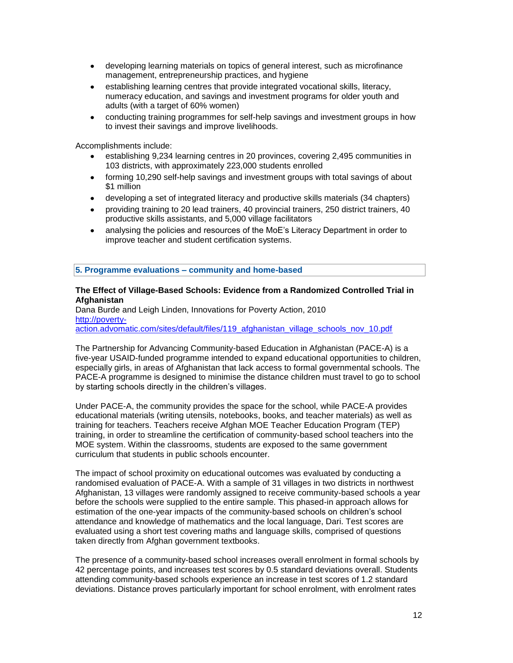- developing learning materials on topics of general interest, such as microfinance management, entrepreneurship practices, and hygiene
- establishing learning centres that provide integrated vocational skills, literacy, numeracy education, and savings and investment programs for older youth and adults (with a target of 60% women)
- conducting training programmes for self-help savings and investment groups in how to invest their savings and improve livelihoods.

Accomplishments include:

- establishing 9,234 learning centres in 20 provinces, covering 2,495 communities in 103 districts, with approximately 223,000 students enrolled
- forming 10,290 self-help savings and investment groups with total savings of about  $\bullet$ \$1 million
- developing a set of integrated literacy and productive skills materials (34 chapters)
- providing training to 20 lead trainers, 40 provincial trainers, 250 district trainers, 40  $\bullet$ productive skills assistants, and 5,000 village facilitators
- analysing the policies and resources of the MoE's Literacy Department in order to  $\bullet$ improve teacher and student certification systems.

## **5. Programme evaluations – community and home-based**

### **The Effect of Village-Based Schools: Evidence from a Randomized Controlled Trial in Afghanistan**

Dana Burde and Leigh Linden, Innovations for Poverty Action, 2010 [http://poverty-](http://poverty-action.advomatic.com/sites/default/files/119_afghanistan_village_schools_nov_10.pdf)

[action.advomatic.com/sites/default/files/119\\_afghanistan\\_village\\_schools\\_nov\\_10.pdf](http://poverty-action.advomatic.com/sites/default/files/119_afghanistan_village_schools_nov_10.pdf) 

The Partnership for Advancing Community-based Education in Afghanistan (PACE-A) is a five-year USAID-funded programme intended to expand educational opportunities to children, especially girls, in areas of Afghanistan that lack access to formal governmental schools. The PACE-A programme is designed to minimise the distance children must travel to go to school by starting schools directly in the children's villages.

Under PACE-A, the community provides the space for the school, while PACE-A provides educational materials (writing utensils, notebooks, books, and teacher materials) as well as training for teachers. Teachers receive Afghan MOE Teacher Education Program (TEP) training, in order to streamline the certification of community-based school teachers into the MOE system. Within the classrooms, students are exposed to the same government curriculum that students in public schools encounter.

The impact of school proximity on educational outcomes was evaluated by conducting a randomised evaluation of PACE-A. With a sample of 31 villages in two districts in northwest Afghanistan, 13 villages were randomly assigned to receive community-based schools a year before the schools were supplied to the entire sample. This phased-in approach allows for estimation of the one-year impacts of the community-based schools on children's school attendance and knowledge of mathematics and the local language, Dari. Test scores are evaluated using a short test covering maths and language skills, comprised of questions taken directly from Afghan government textbooks.

The presence of a community-based school increases overall enrolment in formal schools by 42 percentage points, and increases test scores by 0.5 standard deviations overall. Students attending community-based schools experience an increase in test scores of 1.2 standard deviations. Distance proves particularly important for school enrolment, with enrolment rates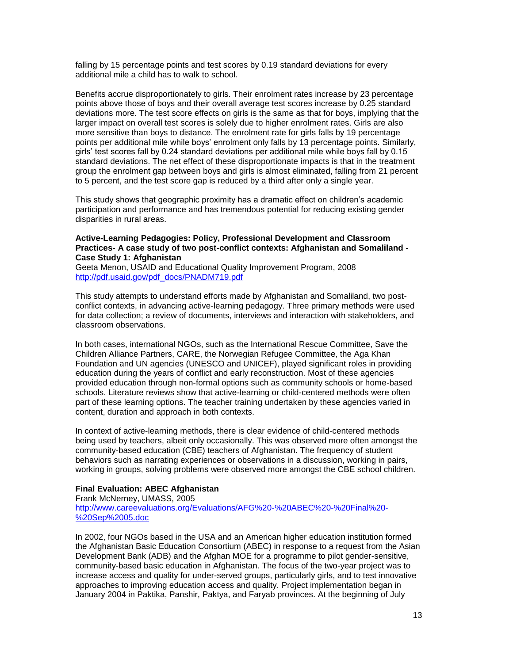falling by 15 percentage points and test scores by 0.19 standard deviations for every additional mile a child has to walk to school.

Benefits accrue disproportionately to girls. Their enrolment rates increase by 23 percentage points above those of boys and their overall average test scores increase by 0.25 standard deviations more. The test score effects on girls is the same as that for boys, implying that the larger impact on overall test scores is solely due to higher enrolment rates. Girls are also more sensitive than boys to distance. The enrolment rate for girls falls by 19 percentage points per additional mile while boys' enrolment only falls by 13 percentage points. Similarly, girls' test scores fall by 0.24 standard deviations per additional mile while boys fall by 0.15 standard deviations. The net effect of these disproportionate impacts is that in the treatment group the enrolment gap between boys and girls is almost eliminated, falling from 21 percent to 5 percent, and the test score gap is reduced by a third after only a single year.

This study shows that geographic proximity has a dramatic effect on children's academic participation and performance and has tremendous potential for reducing existing gender disparities in rural areas.

### **Active-Learning Pedagogies: Policy, Professional Development and Classroom Practices- A case study of two post-conflict contexts: Afghanistan and Somaliland - Case Study 1: Afghanistan**

Geeta Menon, USAID and Educational Quality Improvement Program, 2008 [http://pdf.usaid.gov/pdf\\_docs/PNADM719.pdf](http://pdf.usaid.gov/pdf_docs/PNADM719.pdf)

This study attempts to understand efforts made by Afghanistan and Somaliland, two postconflict contexts, in advancing active-learning pedagogy. Three primary methods were used for data collection; a review of documents, interviews and interaction with stakeholders, and classroom observations.

In both cases, international NGOs, such as the International Rescue Committee, Save the Children Alliance Partners, CARE, the Norwegian Refugee Committee, the Aga Khan Foundation and UN agencies (UNESCO and UNICEF), played significant roles in providing education during the years of conflict and early reconstruction. Most of these agencies provided education through non-formal options such as community schools or home-based schools. Literature reviews show that active-learning or child-centered methods were often part of these learning options. The teacher training undertaken by these agencies varied in content, duration and approach in both contexts.

In context of active-learning methods, there is clear evidence of child-centered methods being used by teachers, albeit only occasionally. This was observed more often amongst the community-based education (CBE) teachers of Afghanistan. The frequency of student behaviors such as narrating experiences or observations in a discussion, working in pairs, working in groups, solving problems were observed more amongst the CBE school children.

### **Final Evaluation: ABEC Afghanistan**

Frank McNerney, UMASS, 2005 [http://www.careevaluations.org/Evaluations/AFG%20-%20ABEC%20-%20Final%20-](http://www.careevaluations.org/Evaluations/AFG%20-%20ABEC%20-%20Final%20-%20Sep%2005.doc) [%20Sep%2005.doc](http://www.careevaluations.org/Evaluations/AFG%20-%20ABEC%20-%20Final%20-%20Sep%2005.doc)

In 2002, four NGOs based in the USA and an American higher education institution formed the Afghanistan Basic Education Consortium (ABEC) in response to a request from the Asian Development Bank (ADB) and the Afghan MOE for a programme to pilot gender-sensitive, community-based basic education in Afghanistan. The focus of the two-year project was to increase access and quality for under-served groups, particularly girls, and to test innovative approaches to improving education access and quality. Project implementation began in January 2004 in Paktika, Panshir, Paktya, and Faryab provinces. At the beginning of July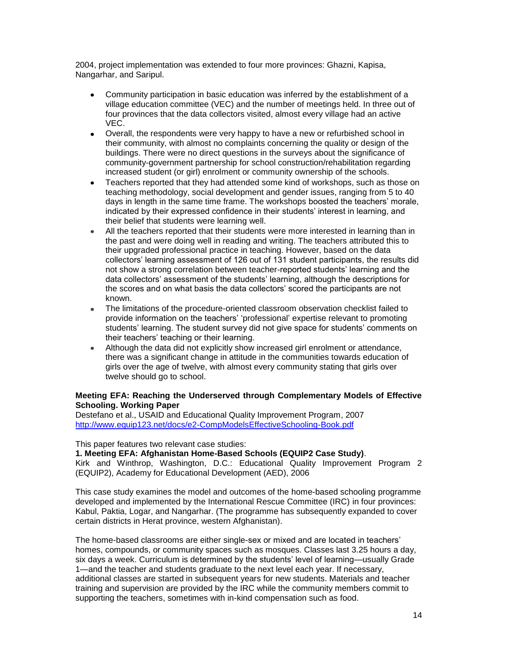2004, project implementation was extended to four more provinces: Ghazni, Kapisa, Nangarhar, and Saripul.

- Community participation in basic education was inferred by the establishment of a village education committee (VEC) and the number of meetings held. In three out of four provinces that the data collectors visited, almost every village had an active VEC.
- Overall, the respondents were very happy to have a new or refurbished school in their community, with almost no complaints concerning the quality or design of the buildings. There were no direct questions in the surveys about the significance of community-government partnership for school construction/rehabilitation regarding increased student (or girl) enrolment or community ownership of the schools.
- Teachers reported that they had attended some kind of workshops, such as those on  $\bullet$ teaching methodology, social development and gender issues, ranging from 5 to 40 days in length in the same time frame. The workshops boosted the teachers' morale, indicated by their expressed confidence in their students' interest in learning, and their belief that students were learning well.
- All the teachers reported that their students were more interested in learning than in  $\bullet$ the past and were doing well in reading and writing. The teachers attributed this to their upgraded professional practice in teaching. However, based on the data collectors' learning assessment of 126 out of 131 student participants, the results did not show a strong correlation between teacher-reported students' learning and the data collectors' assessment of the students' learning, although the descriptions for the scores and on what basis the data collectors' scored the participants are not known.
- The limitations of the procedure-oriented classroom observation checklist failed to provide information on the teachers' ‗professional' expertise relevant to promoting students' learning. The student survey did not give space for students' comments on their teachers' teaching or their learning.
- Although the data did not explicitly show increased girl enrolment or attendance, there was a significant change in attitude in the communities towards education of girls over the age of twelve, with almost every community stating that girls over twelve should go to school.

## **Meeting EFA: Reaching the Underserved through Complementary Models of Effective Schooling. Working Paper**

Destefano et al., USAID and Educational Quality Improvement Program, 2007 <http://www.equip123.net/docs/e2-CompModelsEffectiveSchooling-Book.pdf>

### This paper features two relevant case studies:

### **1. Meeting EFA: Afghanistan Home-Based Schools (EQUIP2 Case Study)**.

Kirk and Winthrop, Washington, D.C.: Educational Quality Improvement Program 2 (EQUIP2), Academy for Educational Development (AED), 2006

This case study examines the model and outcomes of the home-based schooling programme developed and implemented by the International Rescue Committee (IRC) in four provinces: Kabul, Paktia, Logar, and Nangarhar. (The programme has subsequently expanded to cover certain districts in Herat province, western Afghanistan).

The home-based classrooms are either single-sex or mixed and are located in teachers' homes, compounds, or community spaces such as mosques. Classes last 3.25 hours a day, six days a week. Curriculum is determined by the students' level of learning—usually Grade 1—and the teacher and students graduate to the next level each year. If necessary, additional classes are started in subsequent years for new students. Materials and teacher training and supervision are provided by the IRC while the community members commit to supporting the teachers, sometimes with in-kind compensation such as food.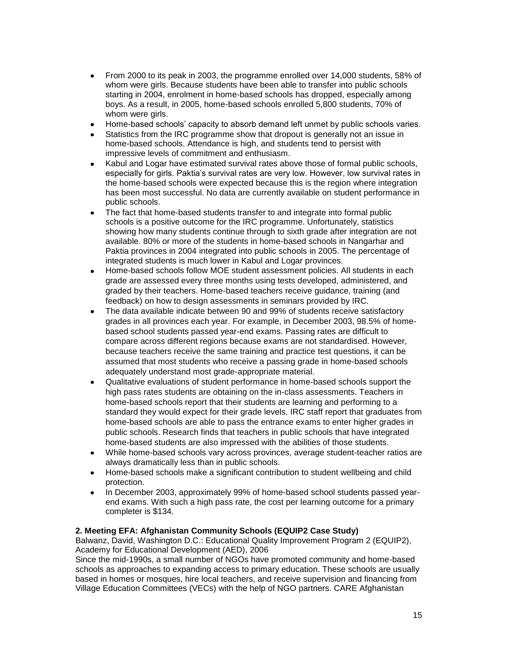- $\bullet$ From 2000 to its peak in 2003, the programme enrolled over 14,000 students, 58% of whom were girls. Because students have been able to transfer into public schools starting in 2004, enrolment in home-based schools has dropped, especially among boys. As a result, in 2005, home-based schools enrolled 5,800 students, 70% of whom were girls.
- Home-based schools' capacity to absorb demand left unmet by public schools varies.
- Statistics from the IRC programme show that dropout is generally not an issue in home-based schools. Attendance is high, and students tend to persist with impressive levels of commitment and enthusiasm.
- Kabul and Logar have estimated survival rates above those of formal public schools, especially for girls. Paktia's survival rates are very low. However, low survival rates in the home-based schools were expected because this is the region where integration has been most successful. No data are currently available on student performance in public schools.
- The fact that home-based students transfer to and integrate into formal public schools is a positive outcome for the IRC programme. Unfortunately, statistics showing how many students continue through to sixth grade after integration are not available. 80% or more of the students in home-based schools in Nangarhar and Paktia provinces in 2004 integrated into public schools in 2005. The percentage of integrated students is much lower in Kabul and Logar provinces.
- Home-based schools follow MOE student assessment policies. All students in each  $\bullet$ grade are assessed every three months using tests developed, administered, and graded by their teachers. Home-based teachers receive guidance, training (and feedback) on how to design assessments in seminars provided by IRC.
- The data available indicate between 90 and 99% of students receive satisfactory grades in all provinces each year. For example, in December 2003, 98.5% of homebased school students passed year-end exams. Passing rates are difficult to compare across different regions because exams are not standardised. However, because teachers receive the same training and practice test questions, it can be assumed that most students who receive a passing grade in home-based schools adequately understand most grade-appropriate material.
- Qualitative evaluations of student performance in home-based schools support the high pass rates students are obtaining on the in-class assessments. Teachers in home-based schools report that their students are learning and performing to a standard they would expect for their grade levels. IRC staff report that graduates from home-based schools are able to pass the entrance exams to enter higher grades in public schools. Research finds that teachers in public schools that have integrated home-based students are also impressed with the abilities of those students.
- While home-based schools vary across provinces, average student-teacher ratios are always dramatically less than in public schools.
- Home-based schools make a significant contribution to student wellbeing and child protection.
- In December 2003, approximately 99% of home-based school students passed yearend exams. With such a high pass rate, the cost per learning outcome for a primary completer is \$134.

# **2. Meeting EFA: Afghanistan Community Schools (EQUIP2 Case Study)**

Balwanz, David, Washington D.C.: Educational Quality Improvement Program 2 (EQUIP2), Academy for Educational Development (AED), 2006

Since the mid-1990s, a small number of NGOs have promoted community and home-based schools as approaches to expanding access to primary education. These schools are usually based in homes or mosques, hire local teachers, and receive supervision and financing from Village Education Committees (VECs) with the help of NGO partners. CARE Afghanistan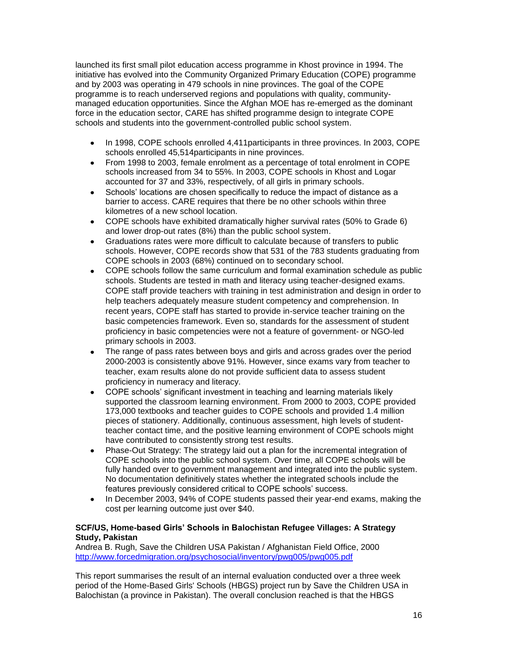launched its first small pilot education access programme in Khost province in 1994. The initiative has evolved into the Community Organized Primary Education (COPE) programme and by 2003 was operating in 479 schools in nine provinces. The goal of the COPE programme is to reach underserved regions and populations with quality, communitymanaged education opportunities. Since the Afghan MOE has re-emerged as the dominant force in the education sector, CARE has shifted programme design to integrate COPE schools and students into the government-controlled public school system.

- In 1998, COPE schools enrolled 4,411participants in three provinces. In 2003, COPE  $\bullet$ schools enrolled 45,514participants in nine provinces.
- From 1998 to 2003, female enrolment as a percentage of total enrolment in COPE schools increased from 34 to 55%. In 2003, COPE schools in Khost and Logar accounted for 37 and 33%, respectively, of all girls in primary schools.
- Schools' locations are chosen specifically to reduce the impact of distance as a  $\bullet$ barrier to access. CARE requires that there be no other schools within three kilometres of a new school location.
- COPE schools have exhibited dramatically higher survival rates (50% to Grade 6) and lower drop-out rates (8%) than the public school system.
- Graduations rates were more difficult to calculate because of transfers to public schools. However, COPE records show that 531 of the 783 students graduating from COPE schools in 2003 (68%) continued on to secondary school.
- COPE schools follow the same curriculum and formal examination schedule as public schools. Students are tested in math and literacy using teacher-designed exams. COPE staff provide teachers with training in test administration and design in order to help teachers adequately measure student competency and comprehension. In recent years, COPE staff has started to provide in-service teacher training on the basic competencies framework. Even so, standards for the assessment of student proficiency in basic competencies were not a feature of government- or NGO-led primary schools in 2003.
- The range of pass rates between boys and girls and across grades over the period 2000-2003 is consistently above 91%. However, since exams vary from teacher to teacher, exam results alone do not provide sufficient data to assess student proficiency in numeracy and literacy.
- COPE schools' significant investment in teaching and learning materials likely supported the classroom learning environment. From 2000 to 2003, COPE provided 173,000 textbooks and teacher guides to COPE schools and provided 1.4 million pieces of stationery. Additionally, continuous assessment, high levels of studentteacher contact time, and the positive learning environment of COPE schools might have contributed to consistently strong test results.
- Phase-Out Strategy: The strategy laid out a plan for the incremental integration of  $\bullet$ COPE schools into the public school system. Over time, all COPE schools will be fully handed over to government management and integrated into the public system. No documentation definitively states whether the integrated schools include the features previously considered critical to COPE schools' success.
- In December 2003, 94% of COPE students passed their year-end exams, making the cost per learning outcome just over \$40.

## **SCF/US, Home-based Girls' Schools in Balochistan Refugee Villages: A Strategy Study, Pakistan**

Andrea B. Rugh, Save the Children USA Pakistan / Afghanistan Field Office, 2000 <http://www.forcedmigration.org/psychosocial/inventory/pwg005/pwg005.pdf>

This report summarises the result of an internal evaluation conducted over a three week period of the Home-Based Girls' Schools (HBGS) project run by Save the Children USA in Balochistan (a province in Pakistan). The overall conclusion reached is that the HBGS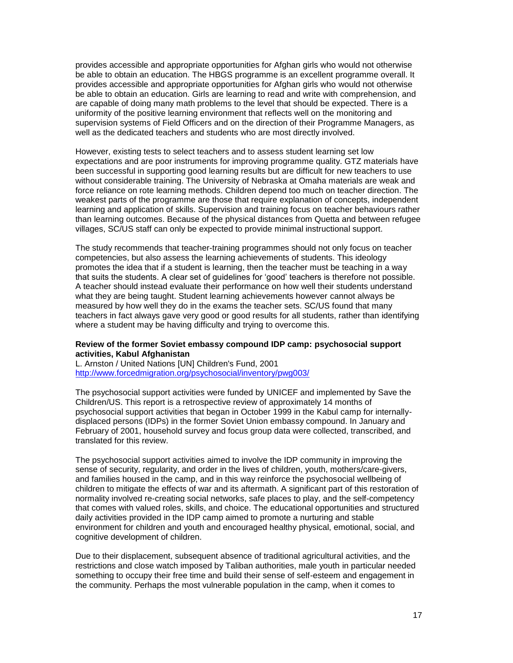provides accessible and appropriate opportunities for Afghan girls who would not otherwise be able to obtain an education. The HBGS programme is an excellent programme overall. It provides accessible and appropriate opportunities for Afghan girls who would not otherwise be able to obtain an education. Girls are learning to read and write with comprehension, and are capable of doing many math problems to the level that should be expected. There is a uniformity of the positive learning environment that reflects well on the monitoring and supervision systems of Field Officers and on the direction of their Programme Managers, as well as the dedicated teachers and students who are most directly involved.

However, existing tests to select teachers and to assess student learning set low expectations and are poor instruments for improving programme quality. GTZ materials have been successful in supporting good learning results but are difficult for new teachers to use without considerable training. The University of Nebraska at Omaha materials are weak and force reliance on rote learning methods. Children depend too much on teacher direction. The weakest parts of the programme are those that require explanation of concepts, independent learning and application of skills. Supervision and training focus on teacher behaviours rather than learning outcomes. Because of the physical distances from Quetta and between refugee villages, SC/US staff can only be expected to provide minimal instructional support.

The study recommends that teacher-training programmes should not only focus on teacher competencies, but also assess the learning achievements of students. This ideology promotes the idea that if a student is learning, then the teacher must be teaching in a way that suits the students. A clear set of guidelines for 'good' teachers is therefore not possible. A teacher should instead evaluate their performance on how well their students understand what they are being taught. Student learning achievements however cannot always be measured by how well they do in the exams the teacher sets. SC/US found that many teachers in fact always gave very good or good results for all students, rather than identifying where a student may be having difficulty and trying to overcome this.

#### **[Review of the former Soviet embassy compound IDP camp: psychosocial](http://www.eldis.org/go/home&id=27011&type=Document) support [activities,](http://www.eldis.org/go/home&id=27011&type=Document) Kabul Afghanistan**

L. Arnston / United Nations [UN] Children's Fund, 2001 <http://www.forcedmigration.org/psychosocial/inventory/pwg003/>

The psychosocial support activities were funded by UNICEF and implemented by Save the Children/US. This report is a retrospective review of approximately 14 months of psychosocial support activities that began in October 1999 in the Kabul camp for internallydisplaced persons (IDPs) in the former Soviet Union embassy compound. In January and February of 2001, household survey and focus group data were collected, transcribed, and translated for this review.

The psychosocial support activities aimed to involve the IDP community in improving the sense of security, regularity, and order in the lives of children, youth, mothers/care-givers, and families housed in the camp, and in this way reinforce the psychosocial wellbeing of children to mitigate the effects of war and its aftermath. A significant part of this restoration of normality involved re-creating social networks, safe places to play, and the self-competency that comes with valued roles, skills, and choice. The educational opportunities and structured daily activities provided in the IDP camp aimed to promote a nurturing and stable environment for children and youth and encouraged healthy physical, emotional, social, and cognitive development of children.

Due to their displacement, subsequent absence of traditional agricultural activities, and the restrictions and close watch imposed by Taliban authorities, male youth in particular needed something to occupy their free time and build their sense of self-esteem and engagement in the community. Perhaps the most vulnerable population in the camp, when it comes to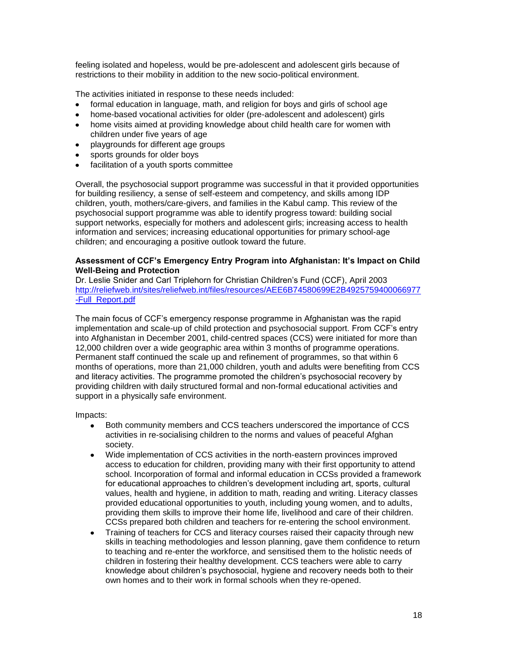feeling isolated and hopeless, would be pre-adolescent and adolescent girls because of restrictions to their mobility in addition to the new socio-political environment.

The activities initiated in response to these needs included:

- formal education in language, math, and religion for boys and girls of school age  $\bullet$
- home-based vocational activities for older (pre-adolescent and adolescent) girls
- home visits aimed at providing knowledge about child health care for women with  $\bullet$ children under five years of age
- playgrounds for different age groups  $\bullet$
- sports grounds for older boys
- facilitation of a youth sports committee

Overall, the psychosocial support programme was successful in that it provided opportunities for building resiliency, a sense of self-esteem and competency, and skills among IDP children, youth, mothers/care-givers, and families in the Kabul camp. This review of the psychosocial support programme was able to identify progress toward: building social support networks, especially for mothers and adolescent girls; increasing access to health information and services; increasing educational opportunities for primary school-age children; and encouraging a positive outlook toward the future.

### **Assessment of CCF's Emergency Entry Program into Afghanistan: It's Impact on Child Well-Being and Protection**

Dr. Leslie Snider and Carl Triplehorn for Christian Children's Fund (CCF), April 2003 [http://reliefweb.int/sites/reliefweb.int/files/resources/AEE6B74580699E2B4925759400066977](http://reliefweb.int/sites/reliefweb.int/files/resources/AEE6B74580699E2B4925759400066977-Full_Report.pdf) [-Full\\_Report.pdf](http://reliefweb.int/sites/reliefweb.int/files/resources/AEE6B74580699E2B4925759400066977-Full_Report.pdf)

The main focus of CCF's emergency response programme in Afghanistan was the rapid implementation and scale-up of child protection and psychosocial support. From CCF's entry into Afghanistan in December 2001, child-centred spaces (CCS) were initiated for more than 12,000 children over a wide geographic area within 3 months of programme operations. Permanent staff continued the scale up and refinement of programmes, so that within 6 months of operations, more than 21,000 children, youth and adults were benefiting from CCS and literacy activities. The programme promoted the children's psychosocial recovery by providing children with daily structured formal and non-formal educational activities and support in a physically safe environment.

Impacts:

- Both community members and CCS teachers underscored the importance of CCS activities in re-socialising children to the norms and values of peaceful Afghan society.
- Wide implementation of CCS activities in the north-eastern provinces improved access to education for children, providing many with their first opportunity to attend school. Incorporation of formal and informal education in CCSs provided a framework for educational approaches to children's development including art, sports, cultural values, health and hygiene, in addition to math, reading and writing. Literacy classes provided educational opportunities to youth, including young women, and to adults, providing them skills to improve their home life, livelihood and care of their children. CCSs prepared both children and teachers for re-entering the school environment.
- Training of teachers for CCS and literacy courses raised their capacity through new skills in teaching methodologies and lesson planning, gave them confidence to return to teaching and re-enter the workforce, and sensitised them to the holistic needs of children in fostering their healthy development. CCS teachers were able to carry knowledge about children's psychosocial, hygiene and recovery needs both to their own homes and to their work in formal schools when they re-opened.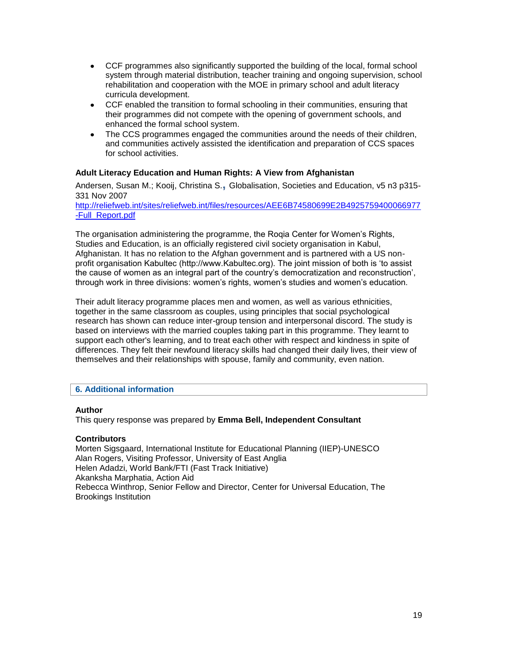- CCF programmes also significantly supported the building of the local, formal school system through material distribution, teacher training and ongoing supervision, school rehabilitation and cooperation with the MOE in primary school and adult literacy curricula development.
- CCF enabled the transition to formal schooling in their communities, ensuring that their programmes did not compete with the opening of government schools, and enhanced the formal school system.
- The CCS programmes engaged the communities around the needs of their children, and communities actively assisted the identification and preparation of CCS spaces for school activities.

## **Adult Literacy Education and Human Rights: A View from Afghanistan**

[Andersen, Susan M.;](http://eric.ed.gov/ERICWebPortal/search/simpleSearch.jsp;jsessionid=ym2NIbUdpOCbKTYQ8JVspg__.ericsrv003?_pageLabel=ERICSearchResult&_urlType=action&newSearch=true&ERICExtSearch_SearchType_0=au&ERICExtSearch_SearchValue_0=%22Andersen+Susan+M.%22) [Kooij, Christina S.](http://eric.ed.gov/ERICWebPortal/search/simpleSearch.jsp;jsessionid=ym2NIbUdpOCbKTYQ8JVspg__.ericsrv003?_pageLabel=ERICSearchResult&_urlType=action&newSearch=true&ERICExtSearch_SearchType_0=au&ERICExtSearch_SearchValue_0=%22Kooij+Christina+S.%22)**,** Globalisation, Societies and Education, v5 n3 p315- 331 Nov 2007

[http://reliefweb.int/sites/reliefweb.int/files/resources/AEE6B74580699E2B4925759400066977](http://reliefweb.int/sites/reliefweb.int/files/resources/AEE6B74580699E2B4925759400066977-Full_Report.pdf) [-Full\\_Report.pdf](http://reliefweb.int/sites/reliefweb.int/files/resources/AEE6B74580699E2B4925759400066977-Full_Report.pdf)

The organisation administering the programme, the Roqia Center for Women's Rights, Studies and Education, is an officially registered civil society organisation in Kabul, Afghanistan. It has no relation to the Afghan government and is partnered with a US nonprofit organisation Kabultec (http://www.Kabultec.org). The joint mission of both is 'to assist the cause of women as an integral part of the country's democratization and reconstruction', through work in three divisions: women's rights, women's studies and women's education.

Their adult literacy programme places men and women, as well as various ethnicities, together in the same classroom as couples, using principles that social psychological research has shown can reduce inter-group tension and interpersonal discord. The study is based on interviews with the married couples taking part in this programme. They learnt to support each other's learning, and to treat each other with respect and kindness in spite of differences. They felt their newfound literacy skills had changed their daily lives, their view of themselves and their relationships with spouse, family and community, even nation.

### **6. Additional information**

### **Author**

This query response was prepared by **Emma Bell, Independent Consultant** 

### **Contributors**

Morten Sigsgaard, International Institute for Educational Planning (IIEP)-UNESCO Alan Rogers, Visiting Professor, University of East Anglia Helen Adadzi, World Bank/FTI (Fast Track Initiative) Akanksha Marphatia, Action Aid Rebecca Winthrop, Senior Fellow and Director, Center for Universal Education, The Brookings Institution